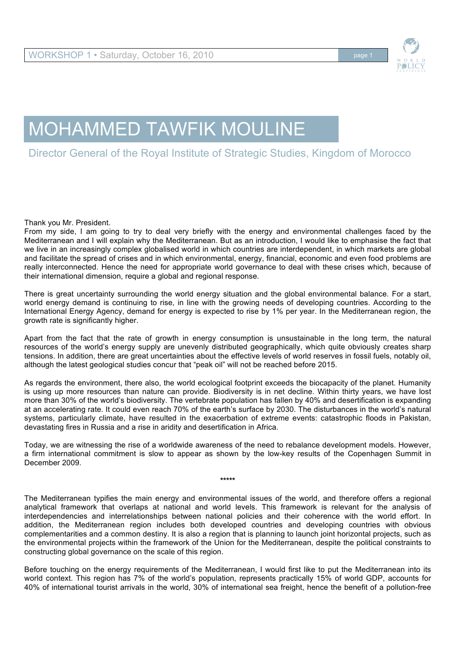

# MOHAMMED TAWFIK MOULINE

# Director General of the Royal Institute of Strategic Studies, Kingdom of Morocco

Thank you Mr. President.

From my side, I am going to try to deal very briefly with the energy and environmental challenges faced by the Mediterranean and I will explain why the Mediterranean. But as an introduction, I would like to emphasise the fact that we live in an increasingly complex globalised world in which countries are interdependent, in which markets are global and facilitate the spread of crises and in which environmental, energy, financial, economic and even food problems are really interconnected. Hence the need for appropriate world governance to deal with these crises which, because of their international dimension, require a global and regional response.

There is great uncertainty surrounding the world energy situation and the global environmental balance. For a start, world energy demand is continuing to rise, in line with the growing needs of developing countries. According to the International Energy Agency, demand for energy is expected to rise by 1% per year. In the Mediterranean region, the growth rate is significantly higher.

Apart from the fact that the rate of growth in energy consumption is unsustainable in the long term, the natural resources of the world's energy supply are unevenly distributed geographically, which quite obviously creates sharp tensions. In addition, there are great uncertainties about the effective levels of world reserves in fossil fuels, notably oil, although the latest geological studies concur that "peak oil" will not be reached before 2015.

As regards the environment, there also, the world ecological footprint exceeds the biocapacity of the planet. Humanity is using up more resources than nature can provide. Biodiversity is in net decline. Within thirty years, we have lost more than 30% of the world's biodiversity. The vertebrate population has fallen by 40% and desertification is expanding at an accelerating rate. It could even reach 70% of the earth's surface by 2030. The disturbances in the world's natural systems, particularly climate, have resulted in the exacerbation of extreme events: catastrophic floods in Pakistan, devastating fires in Russia and a rise in aridity and desertification in Africa.

Today, we are witnessing the rise of a worldwide awareness of the need to rebalance development models. However, a firm international commitment is slow to appear as shown by the low-key results of the Copenhagen Summit in December 2009.

**\*\*\*\*\***

The Mediterranean typifies the main energy and environmental issues of the world, and therefore offers a regional analytical framework that overlaps at national and world levels. This framework is relevant for the analysis of interdependencies and interrelationships between national policies and their coherence with the world effort. In addition, the Mediterranean region includes both developed countries and developing countries with obvious complementarities and a common destiny. It is also a region that is planning to launch joint horizontal projects, such as the environmental projects within the framework of the Union for the Mediterranean, despite the political constraints to constructing global governance on the scale of this region.

Before touching on the energy requirements of the Mediterranean, I would first like to put the Mediterranean into its world context. This region has 7% of the world's population, represents practically 15% of world GDP, accounts for 40% of international tourist arrivals in the world, 30% of international sea freight, hence the benefit of a pollution-free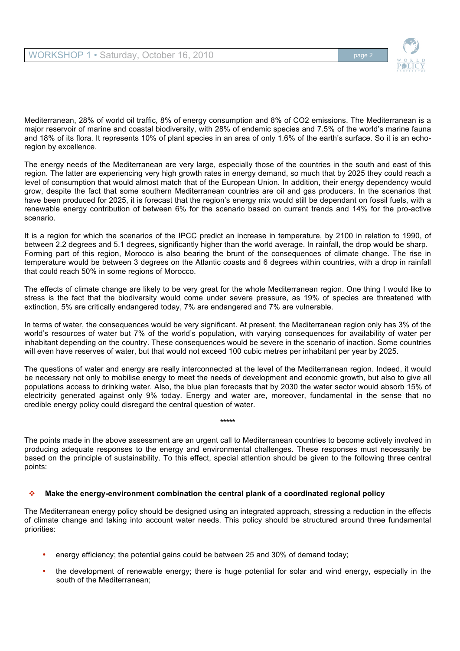

Mediterranean, 28% of world oil traffic, 8% of energy consumption and 8% of CO2 emissions. The Mediterranean is a major reservoir of marine and coastal biodiversity, with 28% of endemic species and 7.5% of the world's marine fauna and 18% of its flora. It represents 10% of plant species in an area of only 1.6% of the earth's surface. So it is an echoregion by excellence.

The energy needs of the Mediterranean are very large, especially those of the countries in the south and east of this region. The latter are experiencing very high growth rates in energy demand, so much that by 2025 they could reach a level of consumption that would almost match that of the European Union. In addition, their energy dependency would grow, despite the fact that some southern Mediterranean countries are oil and gas producers. In the scenarios that have been produced for 2025, it is forecast that the region's energy mix would still be dependant on fossil fuels, with a renewable energy contribution of between 6% for the scenario based on current trends and 14% for the pro-active scenario.

It is a region for which the scenarios of the IPCC predict an increase in temperature, by 2100 in relation to 1990, of between 2.2 degrees and 5.1 degrees, significantly higher than the world average. In rainfall, the drop would be sharp. Forming part of this region, Morocco is also bearing the brunt of the consequences of climate change. The rise in temperature would be between 3 degrees on the Atlantic coasts and 6 degrees within countries, with a drop in rainfall that could reach 50% in some regions of Morocco.

The effects of climate change are likely to be very great for the whole Mediterranean region. One thing I would like to stress is the fact that the biodiversity would come under severe pressure, as 19% of species are threatened with extinction, 5% are critically endangered today, 7% are endangered and 7% are vulnerable.

In terms of water, the consequences would be very significant. At present, the Mediterranean region only has 3% of the world's resources of water but 7% of the world's population, with varying consequences for availability of water per inhabitant depending on the country. These consequences would be severe in the scenario of inaction. Some countries will even have reserves of water, but that would not exceed 100 cubic metres per inhabitant per year by 2025.

The questions of water and energy are really interconnected at the level of the Mediterranean region. Indeed, it would be necessary not only to mobilise energy to meet the needs of development and economic growth, but also to give all populations access to drinking water. Also, the blue plan forecasts that by 2030 the water sector would absorb 15% of electricity generated against only 9% today. Energy and water are, moreover, fundamental in the sense that no credible energy policy could disregard the central question of water.

**\*\*\*\*\***

The points made in the above assessment are an urgent call to Mediterranean countries to become actively involved in producing adequate responses to the energy and environmental challenges. These responses must necessarily be based on the principle of sustainability. To this effect, special attention should be given to the following three central points:

## **Make the energy-environment combination the central plank of a coordinated regional policy**

The Mediterranean energy policy should be designed using an integrated approach, stressing a reduction in the effects of climate change and taking into account water needs. This policy should be structured around three fundamental priorities:

- energy efficiency; the potential gains could be between 25 and 30% of demand today;
- the development of renewable energy; there is huge potential for solar and wind energy, especially in the south of the Mediterranean;